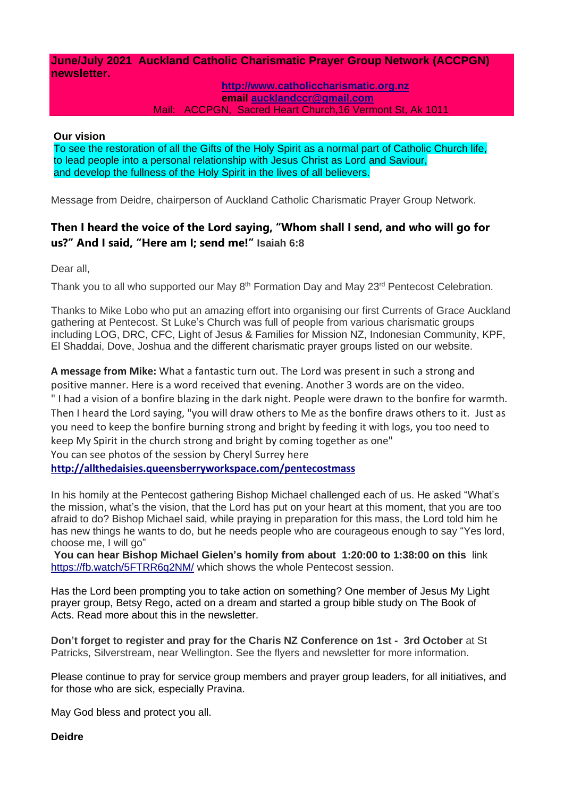### **June/July 2021 Auckland Catholic Charismatic Prayer Group Network (ACCPGN) newsletter.**

#### **[http://www.catholiccharismatic.org.nz](http://www.catholiccharismatic.org.nz/)  email [aucklandccr@gmail.com](mailto:aucklandccr@gmail.com)** Mail: ACCPGN, Sacred Heart Church,16 Vermont St, Ak 1011

#### **Our vision**

To see the restoration of all the Gifts of the Holy Spirit as a normal part of Catholic Church life, to lead people into a personal relationship with Jesus Christ as Lord and Saviour, and develop the fullness of the Holy Spirit in the lives of all believers.

Message from Deidre, chairperson of Auckland Catholic Charismatic Prayer Group Network.

## **Then I heard the voice of the Lord saying, "Whom shall I send, and who will go for us?" And I said, "Here am I; send me!" Isaiah 6:8**

Dear all,

Thank you to all who supported our May  $8<sup>th</sup>$  Formation Day and May  $23<sup>rd</sup>$  Pentecost Celebration.

Thanks to Mike Lobo who put an amazing effort into organising our first Currents of Grace Auckland gathering at Pentecost. St Luke's Church was full of people from various charismatic groups including LOG, DRC, CFC, Light of Jesus & Families for Mission NZ, Indonesian Community, KPF, El Shaddai, Dove, Joshua and the different charismatic prayer groups listed on our website.

**A message from Mike:** What a fantastic turn out. The Lord was present in such a strong and positive manner. Here is a word received that evening. Another 3 words are on the video. " I had a vision of a bonfire blazing in the dark night. People were drawn to the bonfire for warmth. Then I heard the Lord saying, "you will draw others to Me as the bonfire draws others to it. Just as you need to keep the bonfire burning strong and bright by feeding it with logs, you too need to keep My Spirit in the church strong and bright by coming together as one" You can see photos of the session by Cheryl Surrey here

**<http://allthedaisies.queensberryworkspace.com/pentecostmass>**

In his homily at the Pentecost gathering Bishop Michael challenged each of us. He asked "What's the mission, what's the vision, that the Lord has put on your heart at this moment, that you are too afraid to do? Bishop Michael said, while praying in preparation for this mass, the Lord told him he has new things he wants to do, but he needs people who are courageous enough to say "Yes lord, choose me, I will go"

**You can hear Bishop Michael Gielen's homily from about 1:20:00 to 1:38:00 on this** link <https://fb.watch/5FTRR6q2NM/> which shows the whole Pentecost session.

Has the Lord been prompting you to take action on something? One member of Jesus My Light prayer group, Betsy Rego, acted on a dream and started a group bible study on The Book of Acts. Read more about this in the newsletter.

**Don't forget to register and pray for the Charis NZ Conference on 1st - 3rd October** at St Patricks, Silverstream, near Wellington. See the flyers and newsletter for more information.

Please continue to pray for service group members and prayer group leaders, for all initiatives, and for those who are sick, especially Pravina.

May God bless and protect you all.

**Deidre**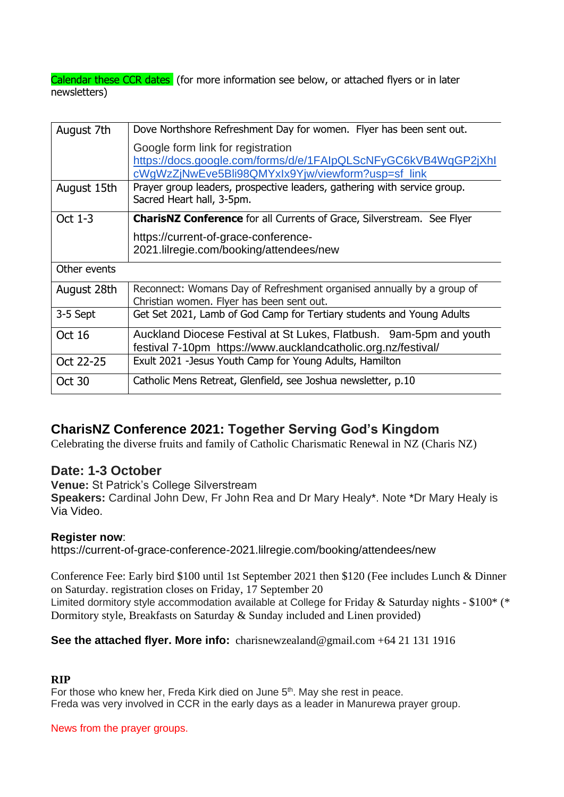Calendar these CCR dates (for more information see below, or attached flyers or in later newsletters)

| August 7th    | Dove Northshore Refreshment Day for women. Flyer has been sent out.                                                                                      |
|---------------|----------------------------------------------------------------------------------------------------------------------------------------------------------|
|               | Google form link for registration<br>https://docs.google.com/forms/d/e/1FAIpQLScNFyGC6kVB4WqGP2jXhI<br>cWgWzZjNwEve5Bli98QMYxIx9Yjw/viewform?usp=sf_link |
| August 15th   | Prayer group leaders, prospective leaders, gathering with service group.<br>Sacred Heart hall, 3-5pm.                                                    |
| Oct 1-3       | <b>CharisNZ Conference</b> for all Currents of Grace, Silverstream. See Flyer                                                                            |
|               | https://current-of-grace-conference-<br>2021.lilregie.com/booking/attendees/new                                                                          |
| Other events  |                                                                                                                                                          |
| August 28th   | Reconnect: Womans Day of Refreshment organised annually by a group of<br>Christian women. Flyer has been sent out.                                       |
| 3-5 Sept      | Get Set 2021, Lamb of God Camp for Tertiary students and Young Adults                                                                                    |
| Oct 16        | Auckland Diocese Festival at St Lukes, Flatbush. 9am-5pm and youth<br>festival 7-10pm https://www.aucklandcatholic.org.nz/festival/                      |
| Oct 22-25     | Exult 2021 -Jesus Youth Camp for Young Adults, Hamilton                                                                                                  |
| <b>Oct 30</b> | Catholic Mens Retreat, Glenfield, see Joshua newsletter, p.10                                                                                            |

# **CharisNZ Conference 2021: Together Serving God's Kingdom**

Celebrating the diverse fruits and family of Catholic Charismatic Renewal in NZ (Charis NZ)

## **Date: 1-3 October**

**Venue:** St Patrick's College Silverstream

**Speakers:** Cardinal John Dew, Fr John Rea and Dr Mary Healy\*. Note \*Dr Mary Healy is Via Video.

### **Register now**:

https://current-of-grace-conference-2021.lilregie.com/booking/attendees/new

Conference Fee: Early bird \$100 until 1st September 2021 then \$120 (Fee includes Lunch & Dinner on Saturday. registration closes on Friday, 17 September 20 Limited dormitory style accommodation available at College for Friday & Saturday nights -  $$100^*$  (\* Dormitory style, Breakfasts on Saturday & Sunday included and Linen provided)

### **See the attached flyer. More info:** charisnewzealand@gmail.com +64 21 131 1916

# **RIP**

For those who knew her, Freda Kirk died on June 5<sup>th</sup>. May she rest in peace. Freda was very involved in CCR in the early days as a leader in Manurewa prayer group.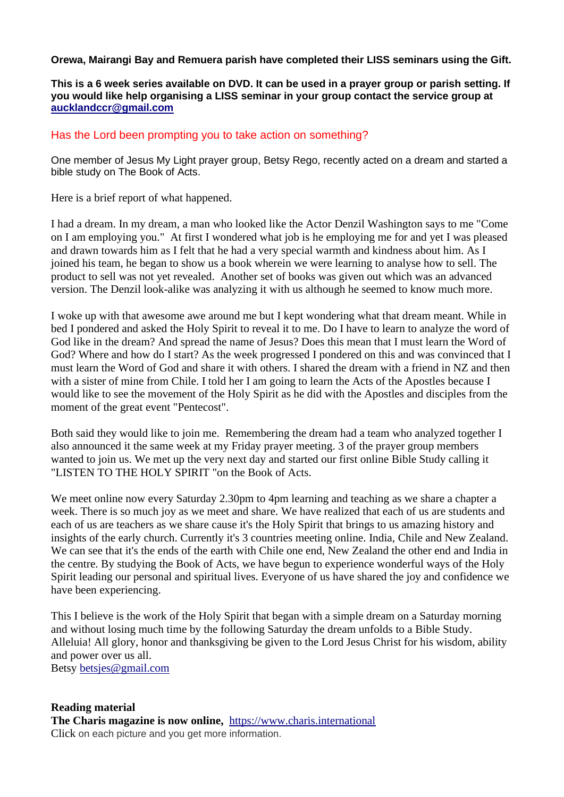### **Orewa, Mairangi Bay and Remuera parish have completed their LISS seminars using the Gift.**

### **This is a 6 week series available on DVD. It can be used in a prayer group or parish setting. If you would like help organising a LISS seminar in your group contact the service group at [aucklandccr@gmail.com](mailto:aucklandccr@gmail.com)**

### Has the Lord been prompting you to take action on something?

One member of Jesus My Light prayer group, Betsy Rego, recently acted on a dream and started a bible study on The Book of Acts.

Here is a brief report of what happened.

I had a dream. In my dream, a man who looked like the Actor Denzil Washington says to me "Come on I am employing you." At first I wondered what job is he employing me for and yet I was pleased and drawn towards him as I felt that he had a very special warmth and kindness about him. As I joined his team, he began to show us a book wherein we were learning to analyse how to sell. The product to sell was not yet revealed. Another set of books was given out which was an advanced version. The Denzil look-alike was analyzing it with us although he seemed to know much more.

I woke up with that awesome awe around me but I kept wondering what that dream meant. While in bed I pondered and asked the Holy Spirit to reveal it to me. Do I have to learn to analyze the word of God like in the dream? And spread the name of Jesus? Does this mean that I must learn the Word of God? Where and how do I start? As the week progressed I pondered on this and was convinced that I must learn the Word of God and share it with others. I shared the dream with a friend in NZ and then with a sister of mine from Chile. I told her I am going to learn the Acts of the Apostles because I would like to see the movement of the Holy Spirit as he did with the Apostles and disciples from the moment of the great event "Pentecost".

Both said they would like to join me. Remembering the dream had a team who analyzed together I also announced it the same week at my Friday prayer meeting. 3 of the prayer group members wanted to join us. We met up the very next day and started our first online Bible Study calling it "LISTEN TO THE HOLY SPIRIT "on the Book of Acts.

We meet online now every Saturday 2.30pm to 4pm learning and teaching as we share a chapter a week. There is so much joy as we meet and share. We have realized that each of us are students and each of us are teachers as we share cause it's the Holy Spirit that brings to us amazing history and insights of the early church. Currently it's 3 countries meeting online. India, Chile and New Zealand. We can see that it's the ends of the earth with Chile one end, New Zealand the other end and India in the centre. By studying the Book of Acts, we have begun to experience wonderful ways of the Holy Spirit leading our personal and spiritual lives. Everyone of us have shared the joy and confidence we have been experiencing.

This I believe is the work of the Holy Spirit that began with a simple dream on a Saturday morning and without losing much time by the following Saturday the dream unfolds to a Bible Study. Alleluia! All glory, honor and thanksgiving be given to the Lord Jesus Christ for his wisdom, ability and power over us all.

Betsy [betsjes@gmail.com](mailto:betsjes@gmail.com)

#### **Reading material The Charis magazine is now online,** [https://www.charis.international](https://www.charis.international/) Click on each picture and you get more information.